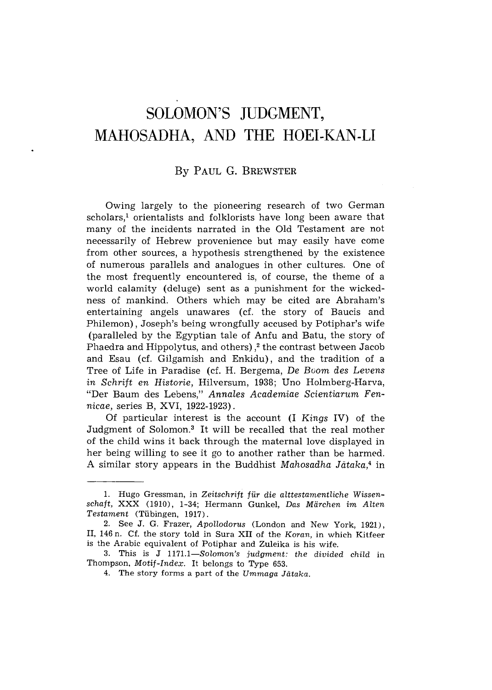## SOLOMON'S JUDGMENT, MAHOSADHA, AND THE HOEI-KAN-LI

## By PAUL G. BREWSTER

Owing largely to the pioneering research of two German scholars,<sup>1</sup> orientalists and folklorists have long been aware that many of the incidents narrated in the Old Testament are not necessarily of Hebrew provenience but may easily have come from other sources, a hypothesis strengthened by the existence of numerous parallels and analogues in other cultures. One of the most frequently encountered is, of course, the theme of a world calamity (deluge) sent as a punishment for the wickedness of mankind. Others which may be cited are Abraham's entertaining angels unawares (cf. the story of Baucis and Philemon), Joseph's being wrongfully accused by Potiphar's wife (paralleled by the Egyptian tale of Anfu and Batu, the story of Phaedra and Hippolytus, and others),<sup>2</sup> the contrast between Jacob and Esau (cf. Gilgamish and Enkidu), and the tradition of a Tree of Life in Paradise (cf. H. Bergema, *De Boom des Levens* in Schrift en Historie, Hilversum, 1938; Uno Holmberg-Harva, "Der Baum des Lebens," Annales Academiae Scientiarum Fen*nicae*, series B, XVI, 1922-1923).

Of particular interest is the account (I *K ings* IV) of the Judgment of Solomon.<sup>3</sup> It will be recalled that the real mother of the child wins it back through the maternal love displayed in her being willing to see it go to another rather than be harmed. A similar story appears in the Buddhist *Mahosadha Jātaka*,<sup>4</sup> in

<sup>1 .</sup> Hugo Gressman, in *Zeitschrift fiir die alttestdmentliche Wissenschaft,* X X X (1910) 1-34; Hermann Gunkel, *Das Marchen im Alien Testament* (Tubingen, 1917).

<sup>2.</sup> See J. G\_ Frazer, *Apollodorus* (London and New York, 1921), II,146 n. Cf. the story told in Sura X II of the *Koran,* in which Kitfeer is the Arabic equivalent of Potiphar and Zuleika is his wife.

<sup>3.</sup> This is J 1171.1—*Solomon's judgment: the divided child* in Thompson, *Motif-Index.* It belongs to Type 653.

<sup>4.</sup> The story forms a part of the *Ummaga Jataka.*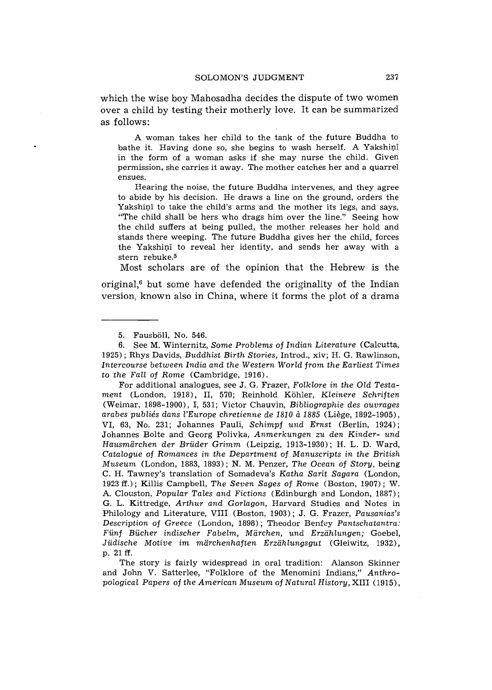which the wise boy Mahosadha decides the dispute of two women over a child by testing their motherly love. It can be summarized as follows:

A woman takes her child to the tank of the future Buddha to bathe it. Having done so, she begins to wash herself. A Yakshini in the form of a woman asks if she may nurse the child. Given permission, she carries it away. The mother catches her and a quarrel ensues.

Hearing the noise, the future Buddha intervenes, and they agree to abide by his decision. He draws a line on the ground, orders the Yakshini to take the child's arms and the mother its legs, and says, "The child shall be hers who drags him over the line." Seeing how the child suffers at being pulled, the mother releases her hold and stands there weeping. The future Buddha gives her the child, forces the Yakshini to reveal her identity, and sends her away with a stern rebuke.5

Most scholars are of the opinion that the Hebrew is the

original,<sup>6</sup> but some have defended the originality of the Indian version, known also in China, where it forms the plot of a drama

For additional analogues, see J. G. Frazer, *Folklore in the Old Testament* (London, 1918) II 570; Reinhold Kohler, *Kleinere Schriften* (Weimar, 1898-1900), I 531; Victor Chauvin, *Bibliographie des ouvrages arabes publies dans VEurope chretienne de 1810 a 1885* (Liege, 1892-1905), VI, 63, No. 231; Johannes Pauli, *Schimpf und Ernst* (Berlin, 1924); Johannes Bolte and Georg Polivka, *Anmerkungen zu den Kinder- und Hausmarchen der Brilder Grimm* (Leipzig, 1913-1930); H. L. D. Ward, *Catalogue of Romances in the Department of Manuscripts in the British Museum* (London, 1883, 1893); N. M. Penzer, *The Ocean of Story*, being C. H. Tawney's translation of Somadeva's *Katha Sarit Sagara* (London, 1923 ff.); Killis Campbell, *The Seven Sages of Rome* (Boston, 1907); W. A. Clouston, *Popular Tales and Fictions* (Edinburgh and London, 1887); G, L. Kittredge, *Arthur and Gorlagon,* Harvard Studies and Notes in Philology and Literature, VIII (Boston, 1903); J. G. Frazer, *Pausanias's Description of Greece* (London, 1898); Theodor Benfey *Pantschatantra: Fiinf Bucher indischer Fabelm, Marchen, und Erzahlungen;* Goebel, *Jiidische Motive im mdrchenhaften Erzdhlungsgut* (Gleiwitz, 1932) , p. 21 ff.

The story is fairly widespread in oral tradition: Alanson Skinner and John V. Satterlee, "Folklore of the Menomini Indians," *Anthro*pological Papers of the American Museum of Natural History, XIII (1915),

<sup>5.</sup> Fausböll, No. 546.

<sup>6.</sup> See M. Winternitz, *Some Problems of Indian Literature* (Calcutta, 1925); Rhys Davids, *Buddhist Birth Stories,* Introd. xiv; H. G. Hawlinson, *Intercourse between India and the Western World from the Earliest Times to the Fall of Rome* (Cambridge, 1916).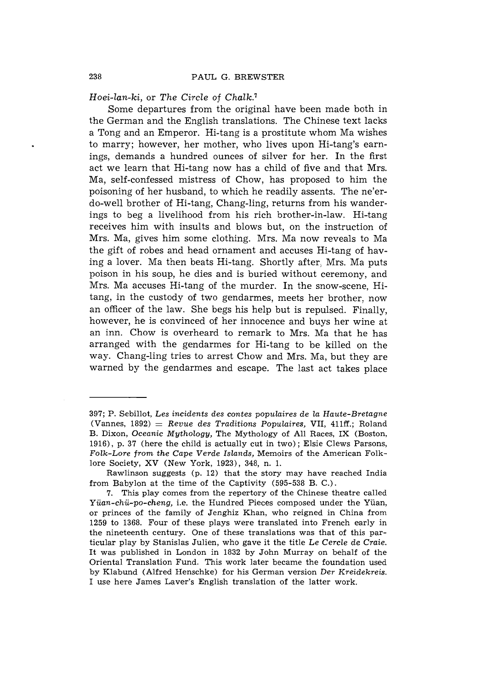*Hoei-lan-ki,* or *The Circle of Chalk.<sup>7</sup>* 

Some departures from the original have been made both in the German and the English translations. The Chinese text lacks a Tong and an Emperor. Hi-tang is a prostitute whom Ma wishes to marry; however, her mother, who lives upon Hi-tang's earnings, demands a hundred ounces of silver for her. In the first act we learn that Hi-tang now has a child of five and that Mrs. Ma, self-confessed mistress of Chow, has proposed to him the poisoning of her husband, to which he readily assents. The ne'erdo-well brother of Hi-tang, Chang-ling, returns from his wanderings to beg a livelihood from his rich brother-in-law. Hi-tang receives him with insults and blows but, on the instruction of Mrs. Ma, gives him some clothing. Mrs. Ma now reveals to Ma the gift of robes and head ornament and accuses Hi-tang of having a lover. Ma then beats Hi-tang. Shortly after; Mrs. Ma puts poison in his soup, he dies and is buried without ceremony, and Mrs. Ma accuses Hi-tang of the murder. In the snow-scene, Hitang, in the custody of two gendarmes, meets her brother, now an officer of the law. She begs his help but is repulsed. Finally, however, he is convinced of her innocence and buys her wine at an inn. Chow is overheard to remark to Mrs. Ma that he has arranged with the gendarmes for Hi-tang to be killed on the way. Chang-ling tries to arrest Chow and Mrs. Ma, but they are warned by the gendarmes and escape. The last act takes place

<sup>397;</sup> P. Sebillot, *Les incidents des contes populaires de la Haute-Bretagne* (Vannes, 1892)  $=$  *Revue des Traditions Populaires, VII, 411ff.; Roland* B. Dixon, *Oceanic Mythology* The Mythology of All Races, IX (Boston, 1916) p. 37 (here the child is actually cut in two); Elsie Clews Parsons, *Folk-Lore from the Cape Verde Islands,* Memoirs of the American Folklore Society, XV (New York, 1923), 348, n. 1.

Rawlinson suggests (p. 12) that the story may have reached India from Babylon at the time of the Captivity (595-538 B. C.).

<sup>7.</sup> This play comes from the repertory of the Chinese theatre called *Yüan-chü-po-cheng*, i.e. the Hundred Pieces composed under the Yüan, or princes of the family of Jenghiz Khan, who reigned in China from 1259 to 1368. Four of these plays were translated into French early in the nineteenth century. One of these translations was that of this particular play by Stanislas Julien, who gave it the title *he Cercle de Crate.* It was published in London in 1832 by John Murray on behalf of the Oriental Translation Fund. This work later became the foundation used by Klabund (Alfred Henschke) for his German version *Der Kreidekreis.* I use here James Laver's English translation of the latter work.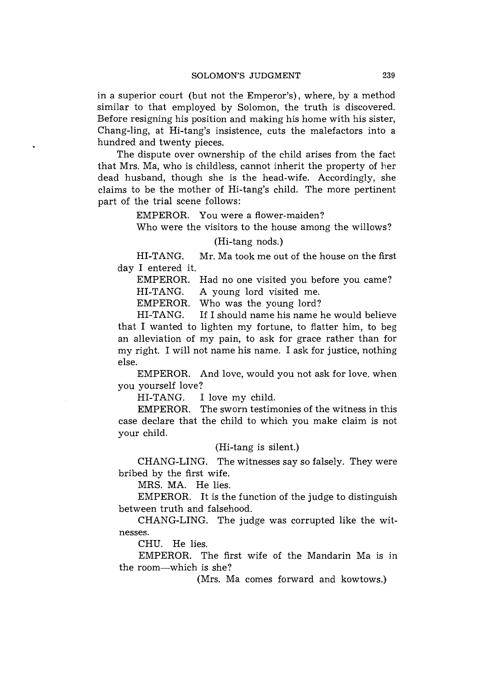in a superior court (but not the Emperor's), where, by a method similar to that employed by Solomon, the truth is discovered. Before resigning his position and making his home with his sister, Chang-ling, at Hi-tang's insistence, cuts the malefactors into a hundred and twenty pieces.

The dispute over ownership of the child arises from the fact that Mrs. Ma, who is childless, cannot inherit the property of her dead husband, though she is the head-wife. Accordingly, she claims to be the mother of Hi-tang's child. The more pertinent part of the trial scene follows:

EMPEROR. You were a flower-maiden?

Who were the visitors to the house among the willows?

## (Hi-tang nods.)

HI-TANG. Mr. Ma took me out of the house on the first day I entered it.

EMPEROR. Had no one visited you before you came?

HI-TANG. A young lord visited me.

EMPEROR. Who was the young lord?

HI-TANG. If I should name his name he would believe that I wanted to lighten my fortune, to flatter him, to beg an alleviation of my pain, to ask for grace rather than for my right. I will not name his name. I ask for justice, nothing else.

EMPEROR. And love, would you not ask for love, when you yourself love?

HI-TANG. I love my child.

EMPEROR. The sworn testimonies of the witness in this case declare that the child to which you make claim is not your child.

## (Hi-tang is silent.)

CHANG-LING. The witnesses say so falsely. They were bribed by the first wife.

MRS. MA. He lies.

EMPEROR. It is the function of the judge to distinguish between truth and falsehood.

CHANG-LING. The judge was corrupted like the witnesses.

CHU. He lies.

EMPEROR. The first wife of the Mandarin Ma is in the room—which is she?

(Mrs. Ma comes forward and kowtows.)